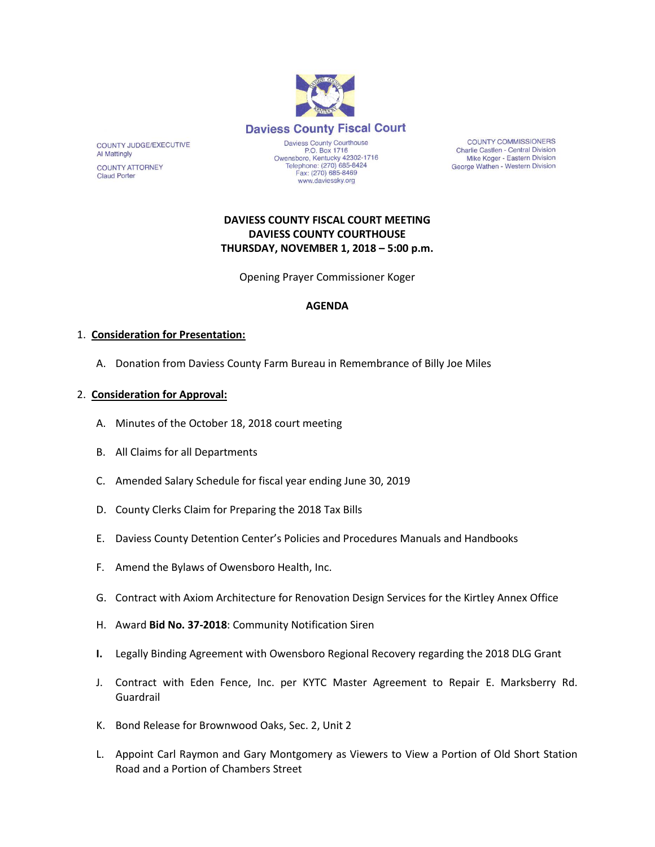

**COUNTY COMMISSIONERS** Charlie Castlen - Central Division Mike Koger - Eastern Division George Wathen - Western Division

# **DAVIESS COUNTY FISCAL COURT MEETING DAVIESS COUNTY COURTHOUSE THURSDAY, NOVEMBER 1, 2018 – 5:00 p.m.**

Opening Prayer Commissioner Koger

### **AGENDA**

## 1. **Consideration for Presentation:**

COUNTY JUDGE/EXECUTIVE

**COUNTY ATTORNEY Claud Porter** 

**Al Mattingly** 

A. Donation from Daviess County Farm Bureau in Remembrance of Billy Joe Miles

#### 2. **Consideration for Approval:**

- A. Minutes of the October 18, 2018 court meeting
- B. All Claims for all Departments
- C. Amended Salary Schedule for fiscal year ending June 30, 2019
- D. County Clerks Claim for Preparing the 2018 Tax Bills
- E. Daviess County Detention Center's Policies and Procedures Manuals and Handbooks
- F. Amend the Bylaws of Owensboro Health, Inc.
- G. Contract with Axiom Architecture for Renovation Design Services for the Kirtley Annex Office
- H. Award **Bid No. 37-2018**: Community Notification Siren
- **I.** Legally Binding Agreement with Owensboro Regional Recovery regarding the 2018 DLG Grant
- J. Contract with Eden Fence, Inc. per KYTC Master Agreement to Repair E. Marksberry Rd. Guardrail
- K. Bond Release for Brownwood Oaks, Sec. 2, Unit 2
- L. Appoint Carl Raymon and Gary Montgomery as Viewers to View a Portion of Old Short Station Road and a Portion of Chambers Street